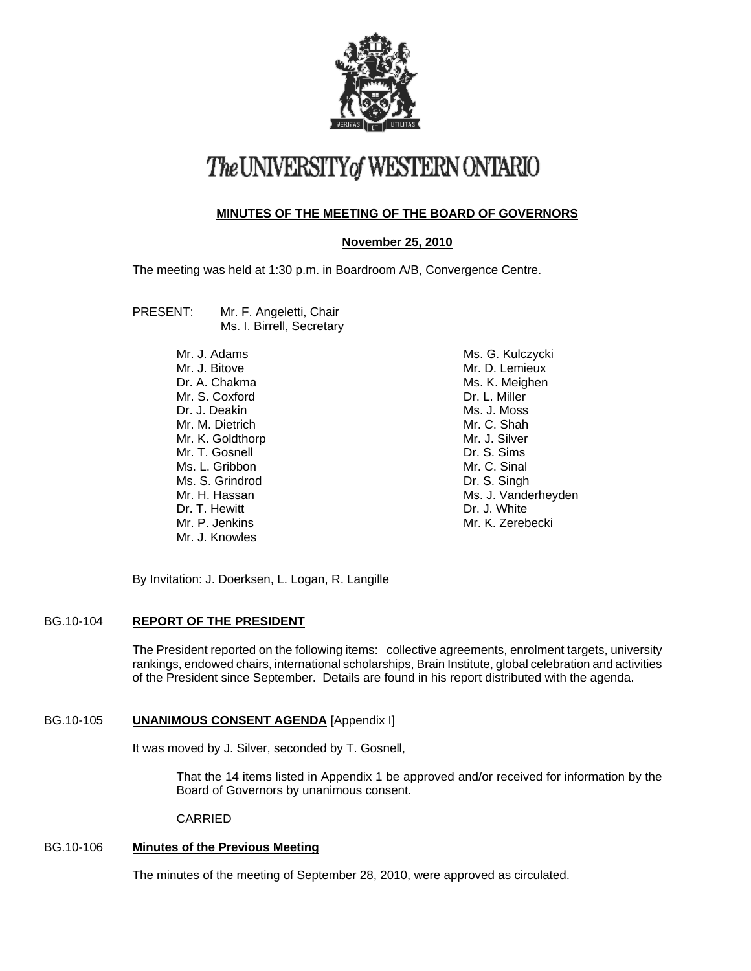

# The UNIVERSITY of WESTERN ONTARIO

# **MINUTES OF THE MEETING OF THE BOARD OF GOVERNORS**

# **November 25, 2010**

The meeting was held at 1:30 p.m. in Boardroom A/B, Convergence Centre.

- PRESENT: Mr. F. Angeletti, Chair Ms. I. Birrell, Secretary
	- Mr. J. Adams Mr. J. Bitove Dr. A. Chakma Mr. S. Coxford Dr. J. Deakin Mr. M. Dietrich Mr. K. Goldthorp Mr. T. Gosnell Ms. L. Gribbon Ms. S. Grindrod Mr. H. Hassan Dr. T. Hewitt Mr. P. Jenkins Mr. J. Knowles

Ms. G. Kulczycki Mr. D. Lemieux Ms. K. Meighen Dr. L. Miller Ms. J. Moss Mr. C. Shah Mr. J. Silver Dr. S. Sims Mr. C. Sinal Dr. S. Singh Ms. J. Vanderheyden Dr. J. White Mr. K. Zerebecki

By Invitation: J. Doerksen, L. Logan, R. Langille

# BG.10-104 **REPORT OF THE PRESIDENT**

The President reported on the following items: collective agreements, enrolment targets, university rankings, endowed chairs, international scholarships, Brain Institute, global celebration and activities of the President since September. Details are found in his report distributed with the agenda.

## BG.10-105 **UNANIMOUS CONSENT AGENDA** [Appendix I]

It was moved by J. Silver, seconded by T. Gosnell,

That the 14 items listed in Appendix 1 be approved and/or received for information by the Board of Governors by unanimous consent.

CARRIED

## BG.10-106 **Minutes of the Previous Meeting**

The minutes of the meeting of September 28, 2010, were approved as circulated.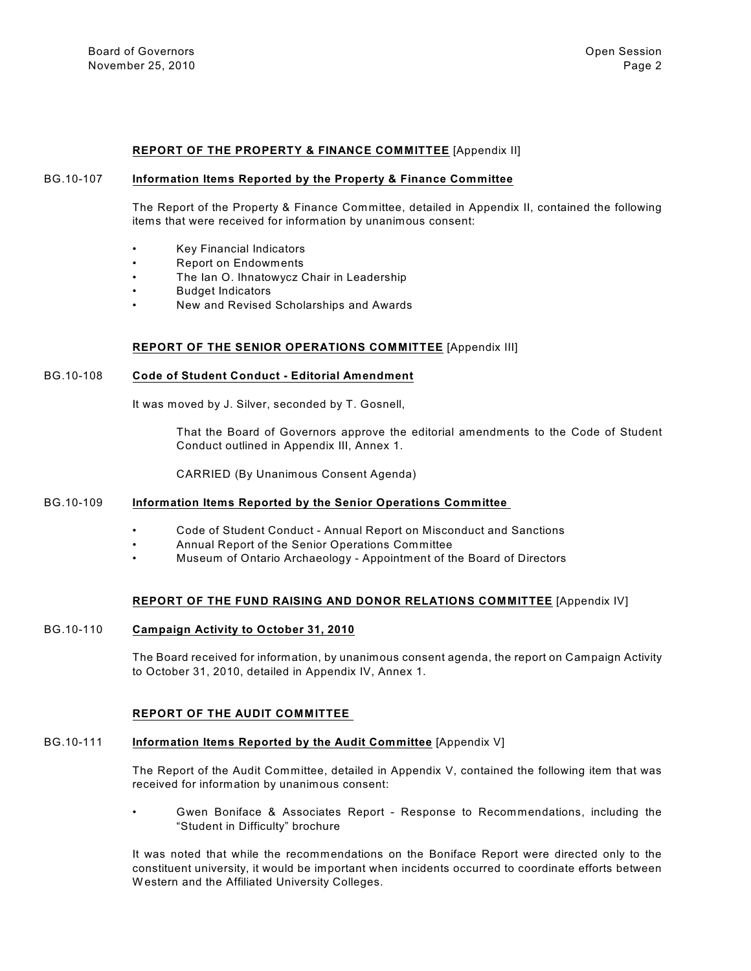## **REPORT OF THE PROPERTY & FINANCE COMMITTEE** [Appendix II]

#### BG.10-107 **Information Items Reported by the Property & Finance Committee**

The Report of the Property & Finance Committee, detailed in Appendix II, contained the following items that were received for information by unanimous consent:

- Key Financial Indicators
- Report on Endowments
- The Ian O. Ihnatowycz Chair in Leadership
- Budget Indicators
- New and Revised Scholarships and Awards

## **REPORT OF THE SENIOR OPERATIONS COMMITTEE** [Appendix III]

#### BG.10-108 **Code of Student Conduct - Editorial Amendment**

It was moved by J. Silver, seconded by T. Gosnell,

That the Board of Governors approve the editorial amendments to the Code of Student Conduct outlined in Appendix III, Annex 1.

CARRIED (By Unanimous Consent Agenda)

#### BG.10-109 **Information Items Reported by the Senior Operations Committee**

- Code of Student Conduct Annual Report on Misconduct and Sanctions
- Annual Report of the Senior Operations Committee
- Museum of Ontario Archaeology Appointment of the Board of Directors

## **REPORT OF THE FUND RAISING AND DONOR RELATIONS COMMITTEE** [Appendix IV]

## BG.10-110 **Campaign Activity to October 31, 2010**

The Board received for information, by unanimous consent agenda, the report on Campaign Activity to October 31, 2010, detailed in Appendix IV, Annex 1.

## **REPORT OF THE AUDIT COMMITTEE**

# BG.10-111 **Information Items Reported by the Audit Committee** [Appendix V]

The Report of the Audit Committee, detailed in Appendix V, contained the following item that was received for information by unanimous consent:

• Gwen Boniface & Associates Report - Response to Recommendations, including the "Student in Difficulty" brochure

It was noted that while the recommendations on the Boniface Report were directed only to the constituent university, it would be important when incidents occurred to coordinate efforts between W estern and the Affiliated University Colleges.